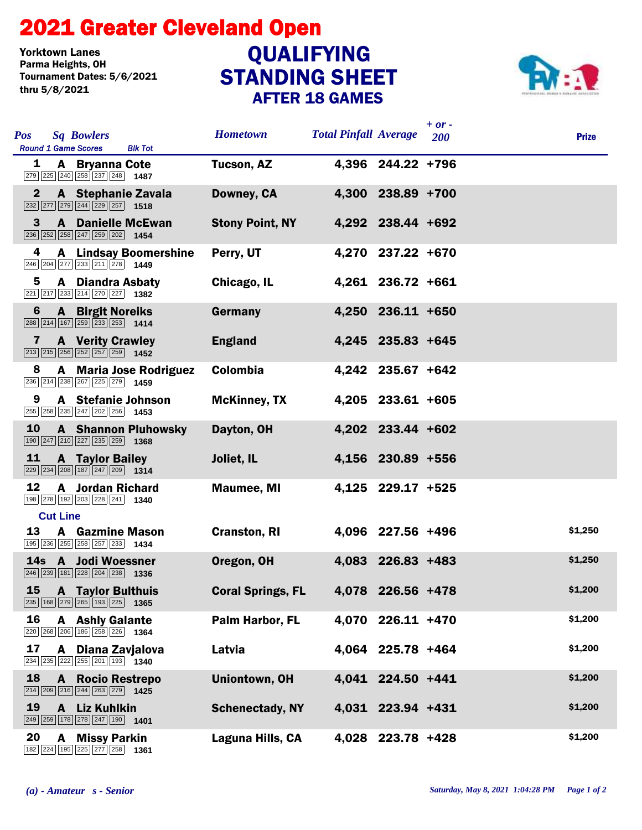## STANDING SHEET 2021 Greater Cleveland Open AFTER 18 GAMES Yorktown Lanes<br>Parma Heights, OH Tournament Dates: 5/6/2021 thru 5/8/2021 **QUALIFYING**



| <b>Pos</b><br><b>Sq Bowlers</b><br><b>Round 1 Game Scores</b><br><b>Blk Tot</b>                                                             | <b>Hometown</b>          | <b>Total Pinfall Average</b> |                   | $+ or -$<br>200 | <b>Prize</b> |
|---------------------------------------------------------------------------------------------------------------------------------------------|--------------------------|------------------------------|-------------------|-----------------|--------------|
| A Bryanna Cote<br>1<br>279 225 240 258 237 248 1487                                                                                         | Tucson, AZ               |                              | 4,396 244.22 +796 |                 |              |
| $\mathbf{2}$<br>A Stephanie Zavala<br>$\sqrt{232}\sqrt{277}\sqrt{279}\sqrt{244}\sqrt{229}\sqrt{257}$ 1518                                   | Downey, CA               |                              | 4,300 238.89 +700 |                 |              |
| 3<br><b>A</b> Danielle McEwan<br>$\boxed{236}\boxed{252}\boxed{258}\boxed{247}\boxed{259}\boxed{202}$ 1454                                  | <b>Stony Point, NY</b>   |                              | 4,292 238.44 +692 |                 |              |
| 4<br><b>A</b> Lindsay Boomershine<br>246 204 277 233 211 278 1449                                                                           | Perry, UT                |                              | 4,270 237.22 +670 |                 |              |
| 5<br><b>A</b> Diandra Asbaty<br>221 217 233 214 270 227 1382                                                                                | Chicago, IL              |                              | 4,261 236.72 +661 |                 |              |
| <b>A</b> Birgit Noreiks<br>6<br>$\boxed{288}$ $\boxed{214}$ $\boxed{167}$ $\boxed{259}$ $\boxed{233}$ $\boxed{253}$ <b>1414</b>             | Germany                  |                              | 4,250 236.11 +650 |                 |              |
| <b>A</b> Verity Crawley<br>7<br>$\boxed{213}$ $\boxed{215}$ $\boxed{256}$ $\boxed{252}$ $\boxed{257}$ $\boxed{259}$ <b>1452</b>             | <b>England</b>           |                              | 4,245 235.83 +645 |                 |              |
| 8<br>A Maria Jose Rodriguez<br>236 214 238 267 225 279 1459                                                                                 | <b>Colombia</b>          |                              | 4,242 235.67 +642 |                 |              |
| A Stefanie Johnson<br>9<br>$\boxed{255}$ $\boxed{258}$ $\boxed{235}$ $\boxed{247}$ $\boxed{202}$ $\boxed{256}$ <b>1453</b>                  | <b>McKinney, TX</b>      |                              | 4,205 233.61 +605 |                 |              |
| <b>10</b><br><b>A</b> Shannon Pluhowsky<br>190 247 210 227 235 259 1368                                                                     | Dayton, OH               |                              | 4,202 233.44 +602 |                 |              |
| 11<br><b>A</b> Taylor Bailey<br>$\boxed{229}$ $\boxed{234}$ $\boxed{208}$ $\boxed{187}$ $\boxed{247}$ $\boxed{209}$ <b>1314</b>             | Joliet, IL               |                              | 4,156 230.89 +556 |                 |              |
| 12<br><b>A</b> Jordan Richard<br>198 278 192 203 228 241 1340                                                                               | <b>Maumee, MI</b>        |                              | 4,125 229.17 +525 |                 |              |
| <b>Cut Line</b>                                                                                                                             |                          |                              |                   |                 |              |
| 13<br><b>A</b> Gazmine Mason<br>195 236 255 258 257 233 1434                                                                                | <b>Cranston, RI</b>      |                              | 4,096 227.56 +496 |                 | \$1,250      |
| 14s A Jodi Woessner<br>$\boxed{246}$ $\boxed{239}$ $\boxed{181}$ $\boxed{228}$ $\boxed{204}$ $\boxed{238}$ <b>1336</b>                      | Oregon, OH               |                              | 4,083 226.83 +483 |                 | \$1,250      |
| <b>15 A Taylor Bulthuis</b><br>235 168 279 265 193 225 1365                                                                                 | <b>Coral Springs, FL</b> |                              | 4,078 226.56 +478 |                 | \$1,200      |
| 16<br><b>A</b> Ashly Galante<br>220 268 206 186 258 226 1364                                                                                | Palm Harbor, FL          |                              | 4,070 226.11 +470 |                 | \$1,200      |
| 17<br>A Diana Zavjalova<br>$\boxed{234}\boxed{235}\boxed{222}\boxed{255}\boxed{201}\boxed{193}$ 1340                                        | Latvia                   |                              | 4,064 225.78 +464 |                 | \$1,200      |
| 18<br><b>A</b> Rocio Restrepo<br>$\boxed{214}$ $\boxed{209}$ $\boxed{216}$ $\boxed{244}$ $\boxed{263}$ $\boxed{279}$ <b>1425</b>            | <b>Uniontown, OH</b>     |                              | 4,041 224.50 +441 |                 | \$1,200      |
| 19<br><b>Liz Kuhlkin</b><br>$\mathbf{A}$<br>$\boxed{249}$ $\boxed{259}$ $\boxed{178}$ $\boxed{278}$ $\boxed{247}$ $\boxed{190}$ <b>1401</b> | <b>Schenectady, NY</b>   |                              | 4,031 223.94 +431 |                 | \$1,200      |
| 20<br><b>A</b> Missy Parkin<br>182 224 195 225 277 258 1361                                                                                 | Laguna Hills, CA         |                              | 4,028 223.78 +428 |                 | \$1,200      |